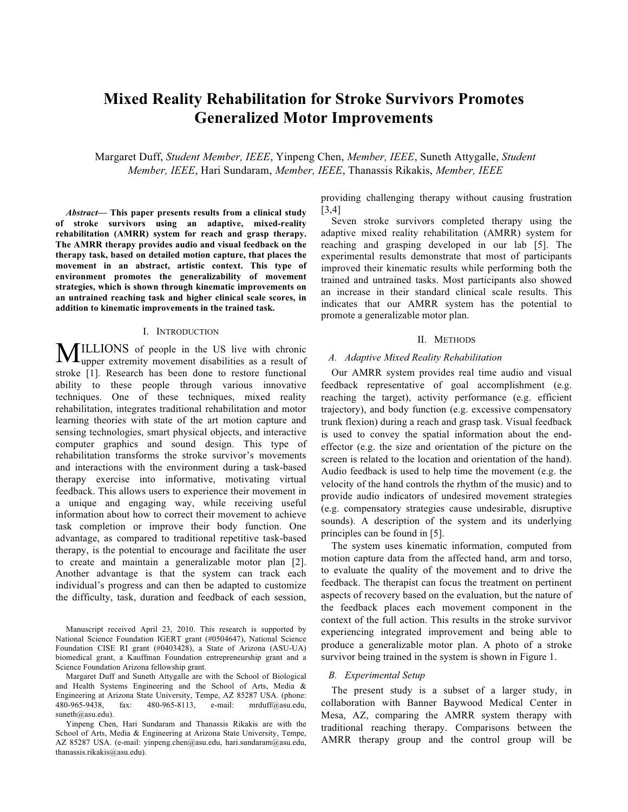# **Mixed Reality Rehabilitation for Stroke Survivors Promotes Generalized Motor Improvements**

Margaret Duff, *Student Member, IEEE*, Yinpeng Chen, *Member, IEEE*, Suneth Attygalle, *Student Member, IEEE*, Hari Sundaram, *Member, IEEE*, Thanassis Rikakis, *Member, IEEE*

*Abstract***— This paper presents results from a clinical study of stroke survivors using an adaptive, mixed-reality rehabilitation (AMRR) system for reach and grasp therapy. The AMRR therapy provides audio and visual feedback on the therapy task, based on detailed motion capture, that places the movement in an abstract, artistic context. This type of environment promotes the generalizability of movement strategies, which is shown through kinematic improvements on an untrained reaching task and higher clinical scale scores, in addition to kinematic improvements in the trained task.**

## I. INTRODUCTION

ILLIONS of people in the US live with chronic **MILLIONS** of people in the US live with chronic upper extremity movement disabilities as a result of stroke [1]. Research has been done to restore functional ability to these people through various innovative techniques. One of these techniques, mixed reality rehabilitation, integrates traditional rehabilitation and motor learning theories with state of the art motion capture and sensing technologies, smart physical objects, and interactive computer graphics and sound design. This type of rehabilitation transforms the stroke survivor's movements and interactions with the environment during a task-based therapy exercise into informative, motivating virtual feedback. This allows users to experience their movement in a unique and engaging way, while receiving useful information about how to correct their movement to achieve task completion or improve their body function. One advantage, as compared to traditional repetitive task-based therapy, is the potential to encourage and facilitate the user to create and maintain a generalizable motor plan [2]. Another advantage is that the system can track each individual's progress and can then be adapted to customize the difficulty, task, duration and feedback of each session,

Manuscript received April 23, 2010. This research is supported by National Science Foundation IGERT grant (#0504647), National Science Foundation CISE RI grant (#0403428), a State of Arizona (ASU-UA) biomedical grant, a Kauffman Foundation entrepreneurship grant and a Science Foundation Arizona fellowship grant.

Margaret Duff and Suneth Attygalle are with the School of Biological and Health Systems Engineering and the School of Arts, Media & Engineering at Arizona State University, Tempe, AZ 85287 USA. (phone: 480-965-9438, fax: 480-965-8113, e-mail: mrduff@asu.edu, 480-965-9438, fax: 480-965-8113, e-mail: mrduff@asu.edu, suneth@asu.edu).

Yinpeng Chen, Hari Sundaram and Thanassis Rikakis are with the School of Arts, Media & Engineering at Arizona State University, Tempe, AZ 85287 USA. (e-mail: yinpeng.chen@asu.edu, hari.sundaram@asu.edu, thanassis.rikakis@asu.edu).

providing challenging therapy without causing frustration [3,4]

Seven stroke survivors completed therapy using the adaptive mixed reality rehabilitation (AMRR) system for reaching and grasping developed in our lab [5]. The experimental results demonstrate that most of participants improved their kinematic results while performing both the trained and untrained tasks. Most participants also showed an increase in their standard clinical scale results. This indicates that our AMRR system has the potential to promote a generalizable motor plan.

# II. METHODS

## *A. Adaptive Mixed Reality Rehabilitation*

Our AMRR system provides real time audio and visual feedback representative of goal accomplishment (e.g. reaching the target), activity performance (e.g. efficient trajectory), and body function (e.g. excessive compensatory trunk flexion) during a reach and grasp task. Visual feedback is used to convey the spatial information about the endeffector (e.g. the size and orientation of the picture on the screen is related to the location and orientation of the hand). Audio feedback is used to help time the movement (e.g. the velocity of the hand controls the rhythm of the music) and to provide audio indicators of undesired movement strategies (e.g. compensatory strategies cause undesirable, disruptive sounds). A description of the system and its underlying principles can be found in [5].

The system uses kinematic information, computed from motion capture data from the affected hand, arm and torso, to evaluate the quality of the movement and to drive the feedback. The therapist can focus the treatment on pertinent aspects of recovery based on the evaluation, but the nature of the feedback places each movement component in the context of the full action. This results in the stroke survivor experiencing integrated improvement and being able to produce a generalizable motor plan. A photo of a stroke survivor being trained in the system is shown in Figure 1.

## *B. Experimental Setup*

The present study is a subset of a larger study, in collaboration with Banner Baywood Medical Center in Mesa, AZ, comparing the AMRR system therapy with traditional reaching therapy. Comparisons between the AMRR therapy group and the control group will be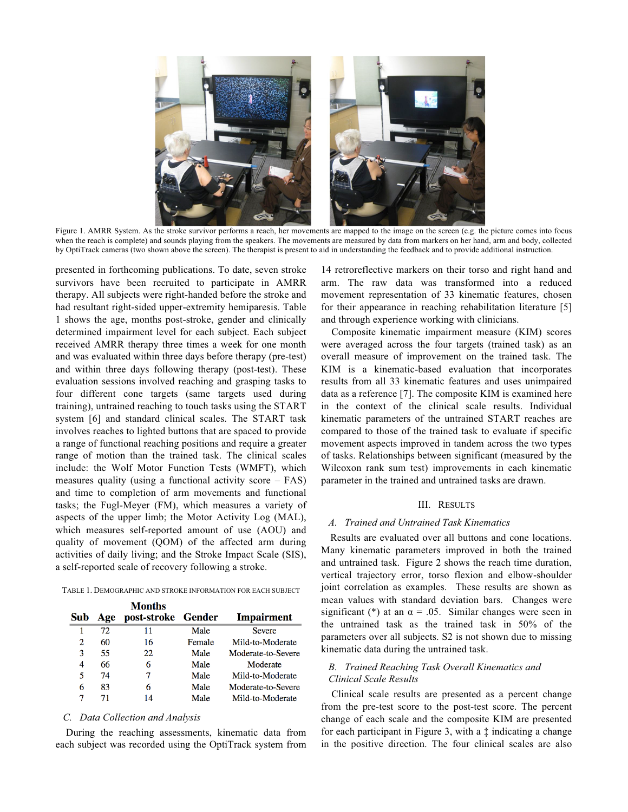

Figure 1. AMRR System. As the stroke survivor performs a reach, her movements are mapped to the image on the screen (e.g. the picture comes into focus when the reach is complete) and sounds playing from the speakers. The movements are measured by data from markers on her hand, arm and body, collected by OptiTrack cameras (two shown above the screen). The therapist is present to aid in understanding the feedback and to provide additional instruction.

presented in forthcoming publications. To date, seven stroke survivors have been recruited to participate in AMRR therapy. All subjects were right-handed before the stroke and had resultant right-sided upper-extremity hemiparesis. Table 1 shows the age, months post-stroke, gender and clinically determined impairment level for each subject. Each subject received AMRR therapy three times a week for one month and was evaluated within three days before therapy (pre-test) and within three days following therapy (post-test). These evaluation sessions involved reaching and grasping tasks to four different cone targets (same targets used during training), untrained reaching to touch tasks using the START system [6] and standard clinical scales. The START task involves reaches to lighted buttons that are spaced to provide a range of functional reaching positions and require a greater range of motion than the trained task. The clinical scales include: the Wolf Motor Function Tests (WMFT), which measures quality (using a functional activity score  $-$  FAS) and time to completion of arm movements and functional tasks; the Fugl-Meyer (FM), which measures a variety of aspects of the upper limb; the Motor Activity Log (MAL), which measures self-reported amount of use (AOU) and quality of movement (QOM) of the affected arm during activities of daily living; and the Stroke Impact Scale (SIS), a self-reported scale of recovery following a stroke.

TABLE 1. DEMOGRAPHIC AND STROKE INFORMATION FOR EACH SUBJECT

- 14

|     |     | Months             |        |                    |
|-----|-----|--------------------|--------|--------------------|
| Sub | Age | post-stroke Gender |        | <b>Impairment</b>  |
|     | 72  | 11                 | Male   | <b>Severe</b>      |
| 2   | 60  | 16                 | Female | Mild-to-Moderate   |
| 3   | 55  | 22                 | Male   | Moderate-to-Severe |
| 4   | 66  | 6                  | Male   | Moderate           |
| 5   | 74  |                    | Male   | Mild-to-Moderate   |
| 6   | 83  | 6                  | Male   | Moderate-to-Severe |
|     |     | 14                 | Male   | Mild-to-Moderate   |

# *C. Data Collection and Analysis*

During the reaching assessments, kinematic data from each subject was recorded using the OptiTrack system from

14 retroreflective markers on their torso and right hand and arm. The raw data was transformed into a reduced movement representation of 33 kinematic features, chosen for their appearance in reaching rehabilitation literature [5] and through experience working with clinicians.

Composite kinematic impairment measure (KIM) scores were averaged across the four targets (trained task) as an overall measure of improvement on the trained task. The KIM is a kinematic-based evaluation that incorporates results from all 33 kinematic features and uses unimpaired data as a reference [7]. The composite KIM is examined here in the context of the clinical scale results. Individual kinematic parameters of the untrained START reaches are compared to those of the trained task to evaluate if specific movement aspects improved in tandem across the two types of tasks. Relationships between significant (measured by the Wilcoxon rank sum test) improvements in each kinematic parameter in the trained and untrained tasks are drawn.

# III. RESULTS

#### *A. Trained and Untrained Task Kinematics*

Results are evaluated over all buttons and cone locations. Many kinematic parameters improved in both the trained and untrained task. Figure 2 shows the reach time duration, vertical trajectory error, torso flexion and elbow-shoulder joint correlation as examples. These results are shown as mean values with standard deviation bars. Changes were significant (\*) at an  $\alpha = .05$ . Similar changes were seen in the untrained task as the trained task in 50% of the parameters over all subjects. S2 is not shown due to missing kinematic data during the untrained task.

# *B. Trained Reaching Task Overall Kinematics and Clinical Scale Results*

Clinical scale results are presented as a percent change from the pre-test score to the post-test score. The percent change of each scale and the composite KIM are presented for each participant in Figure 3, with a ‡ indicating a change in the positive direction. The four clinical scales are also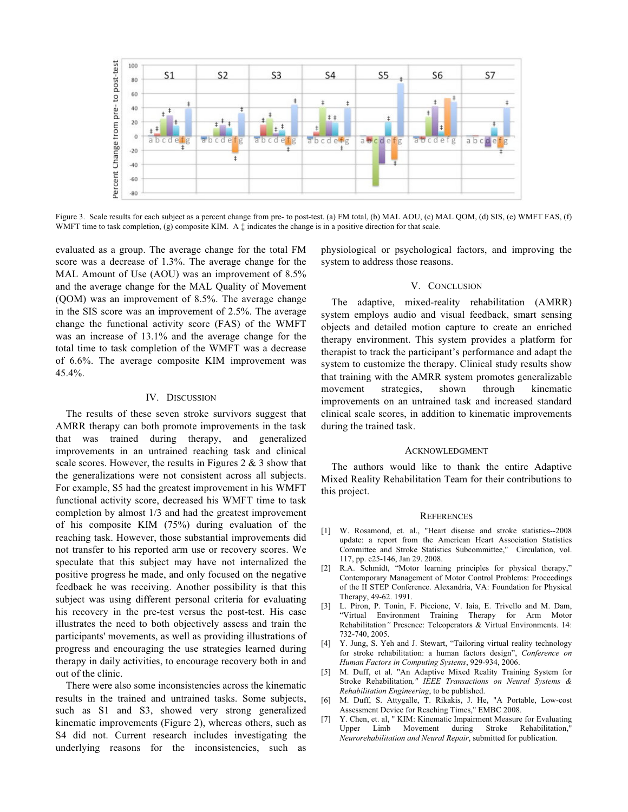

Figure 3. Scale results for each subject as a percent change from pre- to post-test. (a) FM total, (b) MAL AOU, (c) MAL QOM, (d) SIS, (e) WMFT FAS, (f) WMFT time to task completion, (g) composite KIM. A  $\ddagger$  indicates the change is in a positive direction for that scale.

evaluated as a group. The average change for the total FM score was a decrease of 1.3%. The average change for the MAL Amount of Use (AOU) was an improvement of 8.5% and the average change for the MAL Quality of Movement (QOM) was an improvement of 8.5%. The average change in the SIS score was an improvement of 2.5%. The average change the functional activity score (FAS) of the WMFT was an increase of 13.1% and the average change for the total time to task completion of the WMFT was a decrease of 6.6%. The average composite KIM improvement was 45.4%.

#### IV. DISCUSSION

The results of these seven stroke survivors suggest that AMRR therapy can both promote improvements in the task that was trained during therapy, and generalized improvements in an untrained reaching task and clinical scale scores. However, the results in Figures  $2 \& 3$  show that the generalizations were not consistent across all subjects. For example, S5 had the greatest improvement in his WMFT functional activity score, decreased his WMFT time to task completion by almost 1/3 and had the greatest improvement of his composite KIM (75%) during evaluation of the reaching task. However, those substantial improvements did not transfer to his reported arm use or recovery scores. We speculate that this subject may have not internalized the positive progress he made, and only focused on the negative feedback he was receiving. Another possibility is that this subject was using different personal criteria for evaluating his recovery in the pre-test versus the post-test. His case illustrates the need to both objectively assess and train the participants' movements, as well as providing illustrations of progress and encouraging the use strategies learned during therapy in daily activities, to encourage recovery both in and out of the clinic.

There were also some inconsistencies across the kinematic results in the trained and untrained tasks. Some subjects, such as S1 and S3, showed very strong generalized kinematic improvements (Figure 2), whereas others, such as S4 did not. Current research includes investigating the underlying reasons for the inconsistencies, such as

physiological or psychological factors, and improving the system to address those reasons.

## V. CONCLUSION

The adaptive, mixed-reality rehabilitation (AMRR) system employs audio and visual feedback, smart sensing objects and detailed motion capture to create an enriched therapy environment. This system provides a platform for therapist to track the participant's performance and adapt the system to customize the therapy. Clinical study results show that training with the AMRR system promotes generalizable movement strategies, shown through kinematic improvements on an untrained task and increased standard clinical scale scores, in addition to kinematic improvements during the trained task.

## ACKNOWLEDGMENT

The authors would like to thank the entire Adaptive Mixed Reality Rehabilitation Team for their contributions to this project.

#### **REFERENCES**

- [1] W. Rosamond, et. al., "Heart disease and stroke statistics--2008 update: a report from the American Heart Association Statistics Committee and Stroke Statistics Subcommittee," Circulation, vol. 117, pp. e25-146, Jan 29. 2008.
- [2] R.A. Schmidt, "Motor learning principles for physical therapy," Contemporary Management of Motor Control Problems: Proceedings of the II STEP Conference. Alexandria, VA: Foundation for Physical Therapy, 49-62. 1991.
- [3] L. Piron, P. Tonin, F. Piccione, V. Iaia, E. Trivello and M. Dam, "Virtual Environment Training Therapy for Arm Motor Rehabilitation*"* Presence: Teleoperators & Virtual Environments. 14: 732-740, 2005.
- [4] Y. Jung, S. Yeh and J. Stewart, "Tailoring virtual reality technology for stroke rehabilitation: a human factors design", *Conference on Human Factors in Computing Systems*, 929-934, 2006.
- [5] M. Duff, et al. "An Adaptive Mixed Reality Training System for Stroke Rehabilitation*," IEEE Transactions on Neural Systems & Rehabilitation Engineering*, to be published.
- [6] M. Duff, S. Attygalle, T. Rikakis, J. He, "A Portable, Low-cost Assessment Device for Reaching Times," EMBC 2008.
- [7] Y. Chen, et. al, " KIM: Kinematic Impairment Measure for Evaluating Upper Limb Movement during Stroke Rehabilitation, *Neurorehabilitation and Neural Repair*, submitted for publication.